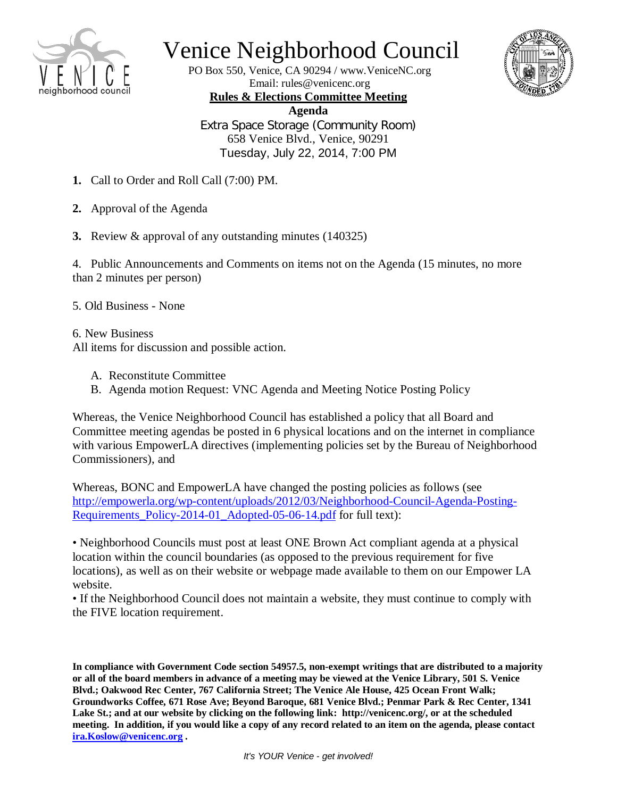

## Venice Neighborhood Council

PO Box 550, Venice, CA 90294 / www.VeniceNC.org Email: rules@venicenc.org



**Rules & Elections Committee Meeting Agenda** Extra Space Storage (Community Room) 658 Venice Blvd., Venice, 90291 Tuesday, July 22, 2014, 7:00 PM

- **1.** Call to Order and Roll Call (7:00) PM.
- **2.** Approval of the Agenda
- **3.** Review & approval of any outstanding minutes (140325)

4. Public Announcements and Comments on items not on the Agenda (15 minutes, no more than 2 minutes per person)

5. Old Business - None

6. New Business

All items for discussion and possible action.

- A. Reconstitute Committee
- B. Agenda motion Request: VNC Agenda and Meeting Notice Posting Policy

Whereas, the Venice Neighborhood Council has established a policy that all Board and Committee meeting agendas be posted in 6 physical locations and on the internet in compliance with various EmpowerLA directives (implementing policies set by the Bureau of Neighborhood Commissioners), and

Whereas, BONC and EmpowerLA have changed the posting policies as follows (see [http://empowerla.org/wp-content/uploads/2012/03/Neighborhood-Council-Agenda-Posting-](http://empowerla.org/wp-content/uploads/2012/03/Neighborhood-Council-Agenda-Posting-Requirements_Policy-2014-01_Adopted-05-06-14.pdf)[Requirements\\_Policy-2014-01\\_Adopted-05-06-14.pdf](http://empowerla.org/wp-content/uploads/2012/03/Neighborhood-Council-Agenda-Posting-Requirements_Policy-2014-01_Adopted-05-06-14.pdf) for full text):

• Neighborhood Councils must post at least ONE Brown Act compliant agenda at a physical location within the council boundaries (as opposed to the previous requirement for five locations), as well as on their website or webpage made available to them on our Empower LA website.

• If the Neighborhood Council does not maintain a website, they must continue to comply with the FIVE location requirement.

**In compliance with Government Code section 54957.5, non-exempt writings that are distributed to a majority or all of the board members in advance of a meeting may be viewed at the Venice Library, 501 S. Venice Blvd.; Oakwood Rec Center, 767 California Street; The Venice Ale House, 425 Ocean Front Walk; Groundworks Coffee, 671 Rose Ave; Beyond Baroque, 681 Venice Blvd.; Penmar Park & Rec Center, 1341 Lake St.; and at our website by clicking on the following link: http://venicenc.org/, or at the scheduled meeting. In addition, if you would like a copy of any record related to an item on the agenda, please contact [ira.Koslow@venicenc.org](mailto:ira.Koslow@venicenc.org) .**